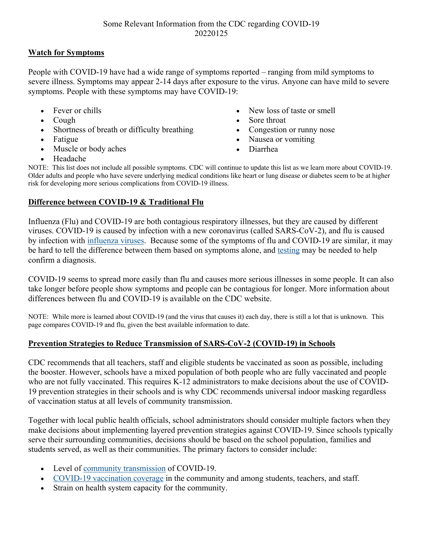## **Watch for Symptoms**

People with COVID-19 have had a wide range of symptoms reported – ranging from mild symptoms to severe illness. Symptoms may appear 2-14 days after exposure to the virus. Anyone can have mild to severe symptoms. People with these symptoms may have COVID-19:

- Fever or chills
- Cough
- Shortness of breath or difficulty breathing
- Fatigue
- Muscle or body aches
- New loss of taste or smell
- Sore throat
- Congestion or runny nose
- Nausea or vomiting
- Diarrhea

• Headache

NOTE: This list does not include all possible symptoms. CDC will continue to update this list as we learn more about COVID-19. Older adults and people who have severe underlying medical conditions like heart or lung disease or diabetes seem to be at higher risk for developing more serious complications from COVID-19 illness.

## **Difference between COVID-19 & Traditional Flu**

Influenza (Flu) and COVID-19 are both contagious respiratory illnesses, but they are caused by different viruses. COVID-19 is caused by infection with a new coronavirus (called SARS-CoV-2), and flu is caused by infection with influenza viruses. Because some of the symptoms of flu and COVID-19 are similar, it may be hard to tell the difference between them based on symptoms alone, and testing may be needed to help confirm a diagnosis.

COVID-19 seems to spread more easily than flu and causes more serious illnesses in some people. It can also take longer before people show symptoms and people can be contagious for longer. More information about differences between flu and COVID-19 is available on the CDC website.

NOTE: While more is learned about COVID-19 (and the virus that causes it) each day, there is still a lot that is unknown. This page compares COVID-19 and flu, given the best available information to date.

## **Prevention Strategies to Reduce Transmission of SARS-CoV-2 (COVID-19) in Schools**

CDC recommends that all teachers, staff and eligible students be vaccinated as soon as possible, including the booster. However, schools have a mixed population of both people who are fully vaccinated and people who are not fully vaccinated. This requires K-12 administrators to make decisions about the use of COVID-19 prevention strategies in their schools and is why CDC recommends universal indoor masking regardless of vaccination status at all levels of community transmission.

Together with local public health officials, school administrators should consider multiple factors when they make decisions about implementing layered prevention strategies against COVID-19. Since schools typically serve their surrounding communities, decisions should be based on the school population, families and students served, as well as their communities. The primary factors to consider include:

- Level of community transmission of COVID-19.
- COVID-19 vaccination coverage in the community and among students, teachers, and staff.
- Strain on health system capacity for the community.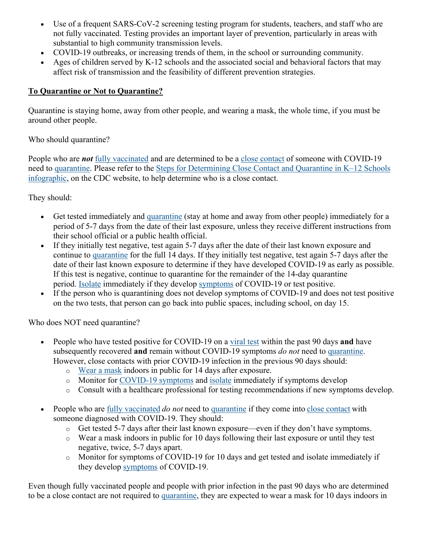- Use of a frequent SARS-CoV-2 screening testing program for students, teachers, and staff who are not fully vaccinated. Testing provides an important layer of prevention, particularly in areas with substantial to high community transmission levels.
- COVID-19 outbreaks, or increasing trends of them, in the school or surrounding community.
- Ages of children served by K-12 schools and the associated social and behavioral factors that may affect risk of transmission and the feasibility of different prevention strategies.

## **To Quarantine or Not to Quarantine?**

Quarantine is staying home, away from other people, and wearing a mask, the whole time, if you must be around other people.

Who should quarantine?

People who are *not* fully vaccinated and are determined to be a close contact of someone with COVID-19 need to quarantine. Please refer to the Steps for Determining Close Contact and Quarantine in K–12 Schools infographic, on the CDC website, to help determine who is a close contact.

They should:

- Get tested immediately and quarantine (stay at home and away from other people) immediately for a period of 5-7 days from the date of their last exposure, unless they receive different instructions from their school official or a public health official.
- If they initially test negative, test again 5-7 days after the date of their last known exposure and continue to quarantine for the full 14 days. If they initially test negative, test again 5-7 days after the date of their last known exposure to determine if they have developed COVID-19 as early as possible. If this test is negative, continue to quarantine for the remainder of the 14-day quarantine period. Isolate immediately if they develop symptoms of COVID-19 or test positive.
- If the person who is quarantining does not develop symptoms of COVID-19 and does not test positive on the two tests, that person can go back into public spaces, including school, on day 15.

Who does NOT need quarantine?

- People who have tested positive for COVID-19 on a viral test within the past 90 days **and** have subsequently recovered **and** remain without COVID-19 symptoms *do not* need to quarantine. However, close contacts with prior COVID-19 infection in the previous 90 days should:
	- o Wear a mask indoors in public for 14 days after exposure.
	- o Monitor for COVID-19 symptoms and isolate immediately if symptoms develop
	- o Consult with a healthcare professional for testing recommendations if new symptoms develop.
- People who are fully vaccinated *do not* need to quarantine if they come into close contact with someone diagnosed with COVID-19. They should:
	- o Get tested 5-7 days after their last known exposure—even if they don't have symptoms.
	- o Wear a mask indoors in public for 10 days following their last exposure or until they test negative, twice, 5-7 days apart.
	- o Monitor for symptoms of COVID-19 for 10 days and get tested and isolate immediately if they develop symptoms of COVID-19.

Even though fully vaccinated people and people with prior infection in the past 90 days who are determined to be a close contact are not required to quarantine, they are expected to wear a mask for 10 days indoors in